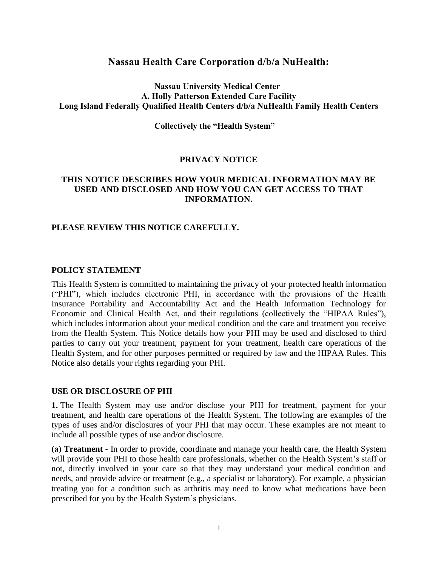## **Nassau Health Care Corporation d/b/a NuHealth:**

#### **Nassau University Medical Center A. Holly Patterson Extended Care Facility Long Island Federally Qualified Health Centers d/b/a NuHealth Family Health Centers**

**Collectively the "Health System"**

#### **PRIVACY NOTICE**

#### **THIS NOTICE DESCRIBES HOW YOUR MEDICAL INFORMATION MAY BE USED AND DISCLOSED AND HOW YOU CAN GET ACCESS TO THAT INFORMATION.**

#### **PLEASE REVIEW THIS NOTICE CAREFULLY.**

#### **POLICY STATEMENT**

This Health System is committed to maintaining the privacy of your protected health information ("PHI"), which includes electronic PHI, in accordance with the provisions of the Health Insurance Portability and Accountability Act and the Health Information Technology for Economic and Clinical Health Act, and their regulations (collectively the "HIPAA Rules"), which includes information about your medical condition and the care and treatment you receive from the Health System. This Notice details how your PHI may be used and disclosed to third parties to carry out your treatment, payment for your treatment, health care operations of the Health System, and for other purposes permitted or required by law and the HIPAA Rules. This Notice also details your rights regarding your PHI.

#### **USE OR DISCLOSURE OF PHI**

**1.** The Health System may use and/or disclose your PHI for treatment, payment for your treatment, and health care operations of the Health System. The following are examples of the types of uses and/or disclosures of your PHI that may occur. These examples are not meant to include all possible types of use and/or disclosure.

**(a) Treatment** - In order to provide, coordinate and manage your health care, the Health System will provide your PHI to those health care professionals, whether on the Health System's staff or not, directly involved in your care so that they may understand your medical condition and needs, and provide advice or treatment (e.g., a specialist or laboratory). For example, a physician treating you for a condition such as arthritis may need to know what medications have been prescribed for you by the Health System's physicians.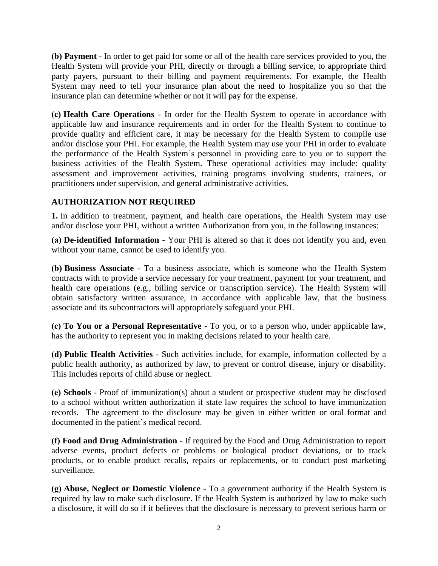**(b) Payment** - In order to get paid for some or all of the health care services provided to you, the Health System will provide your PHI, directly or through a billing service, to appropriate third party payers, pursuant to their billing and payment requirements. For example, the Health System may need to tell your insurance plan about the need to hospitalize you so that the insurance plan can determine whether or not it will pay for the expense.

**(c) Health Care Operations** - In order for the Health System to operate in accordance with applicable law and insurance requirements and in order for the Health System to continue to provide quality and efficient care, it may be necessary for the Health System to compile use and/or disclose your PHI. For example, the Health System may use your PHI in order to evaluate the performance of the Health System's personnel in providing care to you or to support the business activities of the Health System. These operational activities may include: quality assessment and improvement activities, training programs involving students, trainees, or practitioners under supervision, and general administrative activities.

# **AUTHORIZATION NOT REQUIRED**

**1.** In addition to treatment, payment, and health care operations, the Health System may use and/or disclose your PHI, without a written Authorization from you, in the following instances:

**(a) De-identified Information** - Your PHI is altered so that it does not identify you and, even without your name, cannot be used to identify you.

**(b) Business Associate** - To a business associate, which is someone who the Health System contracts with to provide a service necessary for your treatment, payment for your treatment, and health care operations (e.g., billing service or transcription service). The Health System will obtain satisfactory written assurance, in accordance with applicable law, that the business associate and its subcontractors will appropriately safeguard your PHI.

**(c) To You or a Personal Representative** - To you, or to a person who, under applicable law, has the authority to represent you in making decisions related to your health care.

**(d) Public Health Activities** - Such activities include, for example, information collected by a public health authority, as authorized by law, to prevent or control disease, injury or disability. This includes reports of child abuse or neglect.

**(e) Schools** - Proof of immunization(s) about a student or prospective student may be disclosed to a school without written authorization if state law requires the school to have immunization records. The agreement to the disclosure may be given in either written or oral format and documented in the patient's medical record.

**(f) Food and Drug Administration** - If required by the Food and Drug Administration to report adverse events, product defects or problems or biological product deviations, or to track products, or to enable product recalls, repairs or replacements, or to conduct post marketing surveillance.

**(g) Abuse, Neglect or Domestic Violence** - To a government authority if the Health System is required by law to make such disclosure. If the Health System is authorized by law to make such a disclosure, it will do so if it believes that the disclosure is necessary to prevent serious harm or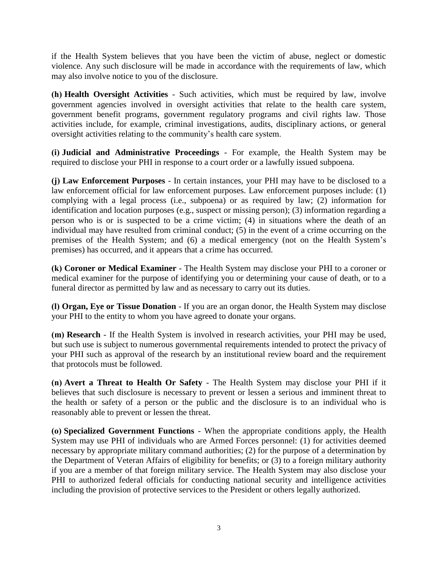if the Health System believes that you have been the victim of abuse, neglect or domestic violence. Any such disclosure will be made in accordance with the requirements of law, which may also involve notice to you of the disclosure.

**(h) Health Oversight Activities** - Such activities, which must be required by law, involve government agencies involved in oversight activities that relate to the health care system, government benefit programs, government regulatory programs and civil rights law. Those activities include, for example, criminal investigations, audits, disciplinary actions, or general oversight activities relating to the community's health care system.

**(i) Judicial and Administrative Proceedings** - For example, the Health System may be required to disclose your PHI in response to a court order or a lawfully issued subpoena.

**(j) Law Enforcement Purposes** - In certain instances, your PHI may have to be disclosed to a law enforcement official for law enforcement purposes. Law enforcement purposes include: (1) complying with a legal process (i.e., subpoena) or as required by law; (2) information for identification and location purposes (e.g., suspect or missing person); (3) information regarding a person who is or is suspected to be a crime victim; (4) in situations where the death of an individual may have resulted from criminal conduct; (5) in the event of a crime occurring on the premises of the Health System; and (6) a medical emergency (not on the Health System's premises) has occurred, and it appears that a crime has occurred.

**(k) Coroner or Medical Examiner** - The Health System may disclose your PHI to a coroner or medical examiner for the purpose of identifying you or determining your cause of death, or to a funeral director as permitted by law and as necessary to carry out its duties.

**(l) Organ, Eye or Tissue Donation** - If you are an organ donor, the Health System may disclose your PHI to the entity to whom you have agreed to donate your organs.

**(m) Research** - If the Health System is involved in research activities, your PHI may be used, but such use is subject to numerous governmental requirements intended to protect the privacy of your PHI such as approval of the research by an institutional review board and the requirement that protocols must be followed.

**(n) Avert a Threat to Health Or Safety** - The Health System may disclose your PHI if it believes that such disclosure is necessary to prevent or lessen a serious and imminent threat to the health or safety of a person or the public and the disclosure is to an individual who is reasonably able to prevent or lessen the threat.

**(o) Specialized Government Functions** - When the appropriate conditions apply, the Health System may use PHI of individuals who are Armed Forces personnel: (1) for activities deemed necessary by appropriate military command authorities; (2) for the purpose of a determination by the Department of Veteran Affairs of eligibility for benefits; or (3) to a foreign military authority if you are a member of that foreign military service. The Health System may also disclose your PHI to authorized federal officials for conducting national security and intelligence activities including the provision of protective services to the President or others legally authorized.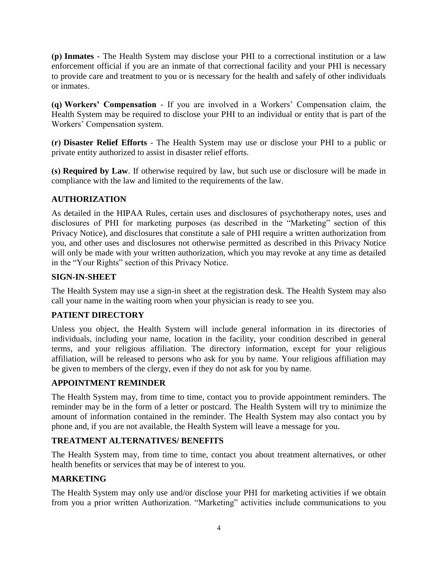**(p) Inmates** - The Health System may disclose your PHI to a correctional institution or a law enforcement official if you are an inmate of that correctional facility and your PHI is necessary to provide care and treatment to you or is necessary for the health and safely of other individuals or inmates.

**(q) Workers' Compensation** - If you are involved in a Workers' Compensation claim, the Health System may be required to disclose your PHI to an individual or entity that is part of the Workers' Compensation system.

**(r) Disaster Relief Efforts** - The Health System may use or disclose your PHI to a public or private entity authorized to assist in disaster relief efforts.

**(s) Required by Law**. If otherwise required by law, but such use or disclosure will be made in compliance with the law and limited to the requirements of the law.

## **AUTHORIZATION**

As detailed in the HIPAA Rules, certain uses and disclosures of psychotherapy notes, uses and disclosures of PHI for marketing purposes (as described in the "Marketing" section of this Privacy Notice), and disclosures that constitute a sale of PHI require a written authorization from you, and other uses and disclosures not otherwise permitted as described in this Privacy Notice will only be made with your written authorization, which you may revoke at any time as detailed in the "Your Rights" section of this Privacy Notice.

## **SIGN-IN-SHEET**

The Health System may use a sign-in sheet at the registration desk. The Health System may also call your name in the waiting room when your physician is ready to see you.

# **PATIENT DIRECTORY**

Unless you object, the Health System will include general information in its directories of individuals, including your name, location in the facility, your condition described in general terms, and your religious affiliation. The directory information, except for your religious affiliation, will be released to persons who ask for you by name. Your religious affiliation may be given to members of the clergy, even if they do not ask for you by name.

## **APPOINTMENT REMINDER**

The Health System may, from time to time, contact you to provide appointment reminders. The reminder may be in the form of a letter or postcard. The Health System will try to minimize the amount of information contained in the reminder. The Health System may also contact you by phone and, if you are not available, the Health System will leave a message for you.

## **TREATMENT ALTERNATIVES/ BENEFITS**

The Health System may, from time to time, contact you about treatment alternatives, or other health benefits or services that may be of interest to you.

## **MARKETING**

The Health System may only use and/or disclose your PHI for marketing activities if we obtain from you a prior written Authorization. "Marketing" activities include communications to you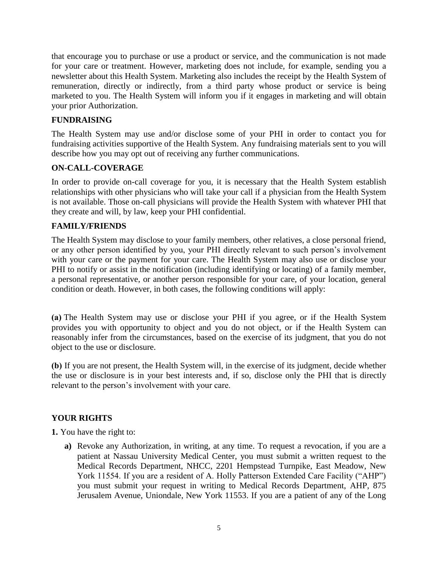that encourage you to purchase or use a product or service, and the communication is not made for your care or treatment. However, marketing does not include, for example, sending you a newsletter about this Health System. Marketing also includes the receipt by the Health System of remuneration, directly or indirectly, from a third party whose product or service is being marketed to you. The Health System will inform you if it engages in marketing and will obtain your prior Authorization.

## **FUNDRAISING**

The Health System may use and/or disclose some of your PHI in order to contact you for fundraising activities supportive of the Health System. Any fundraising materials sent to you will describe how you may opt out of receiving any further communications.

## **ON-CALL-COVERAGE**

In order to provide on-call coverage for you, it is necessary that the Health System establish relationships with other physicians who will take your call if a physician from the Health System is not available. Those on-call physicians will provide the Health System with whatever PHI that they create and will, by law, keep your PHI confidential.

## **FAMILY/FRIENDS**

The Health System may disclose to your family members, other relatives, a close personal friend, or any other person identified by you, your PHI directly relevant to such person's involvement with your care or the payment for your care. The Health System may also use or disclose your PHI to notify or assist in the notification (including identifying or locating) of a family member, a personal representative, or another person responsible for your care, of your location, general condition or death. However, in both cases, the following conditions will apply:

**(a)** The Health System may use or disclose your PHI if you agree, or if the Health System provides you with opportunity to object and you do not object, or if the Health System can reasonably infer from the circumstances, based on the exercise of its judgment, that you do not object to the use or disclosure.

**(b)** If you are not present, the Health System will, in the exercise of its judgment, decide whether the use or disclosure is in your best interests and, if so, disclose only the PHI that is directly relevant to the person's involvement with your care.

## **YOUR RIGHTS**

**1.** You have the right to:

**a)** Revoke any Authorization, in writing, at any time. To request a revocation, if you are a patient at Nassau University Medical Center, you must submit a written request to the Medical Records Department, NHCC, 2201 Hempstead Turnpike, East Meadow, New York 11554. If you are a resident of A. Holly Patterson Extended Care Facility ("AHP") you must submit your request in writing to Medical Records Department, AHP, 875 Jerusalem Avenue, Uniondale, New York 11553. If you are a patient of any of the Long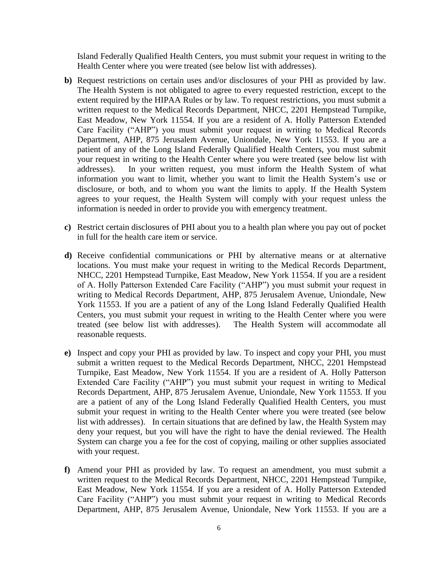Island Federally Qualified Health Centers, you must submit your request in writing to the Health Center where you were treated (see below list with addresses).

- **b)** Request restrictions on certain uses and/or disclosures of your PHI as provided by law. The Health System is not obligated to agree to every requested restriction, except to the extent required by the HIPAA Rules or by law. To request restrictions, you must submit a written request to the Medical Records Department, NHCC, 2201 Hempstead Turnpike, East Meadow, New York 11554. If you are a resident of A. Holly Patterson Extended Care Facility ("AHP") you must submit your request in writing to Medical Records Department, AHP, 875 Jerusalem Avenue, Uniondale, New York 11553. If you are a patient of any of the Long Island Federally Qualified Health Centers, you must submit your request in writing to the Health Center where you were treated (see below list with addresses). In your written request, you must inform the Health System of what information you want to limit, whether you want to limit the Health System's use or disclosure, or both, and to whom you want the limits to apply. If the Health System agrees to your request, the Health System will comply with your request unless the information is needed in order to provide you with emergency treatment.
- **c)** Restrict certain disclosures of PHI about you to a health plan where you pay out of pocket in full for the health care item or service.
- **d)** Receive confidential communications or PHI by alternative means or at alternative locations. You must make your request in writing to the Medical Records Department, NHCC, 2201 Hempstead Turnpike, East Meadow, New York 11554. If you are a resident of A. Holly Patterson Extended Care Facility ("AHP") you must submit your request in writing to Medical Records Department, AHP, 875 Jerusalem Avenue, Uniondale, New York 11553. If you are a patient of any of the Long Island Federally Qualified Health Centers, you must submit your request in writing to the Health Center where you were treated (see below list with addresses). The Health System will accommodate all reasonable requests.
- **e)** Inspect and copy your PHI as provided by law. To inspect and copy your PHI, you must submit a written request to the Medical Records Department, NHCC, 2201 Hempstead Turnpike, East Meadow, New York 11554. If you are a resident of A. Holly Patterson Extended Care Facility ("AHP") you must submit your request in writing to Medical Records Department, AHP, 875 Jerusalem Avenue, Uniondale, New York 11553. If you are a patient of any of the Long Island Federally Qualified Health Centers, you must submit your request in writing to the Health Center where you were treated (see below list with addresses). In certain situations that are defined by law, the Health System may deny your request, but you will have the right to have the denial reviewed. The Health System can charge you a fee for the cost of copying, mailing or other supplies associated with your request.
- **f)** Amend your PHI as provided by law. To request an amendment, you must submit a written request to the Medical Records Department, NHCC, 2201 Hempstead Turnpike, East Meadow, New York 11554. If you are a resident of A. Holly Patterson Extended Care Facility ("AHP") you must submit your request in writing to Medical Records Department, AHP, 875 Jerusalem Avenue, Uniondale, New York 11553. If you are a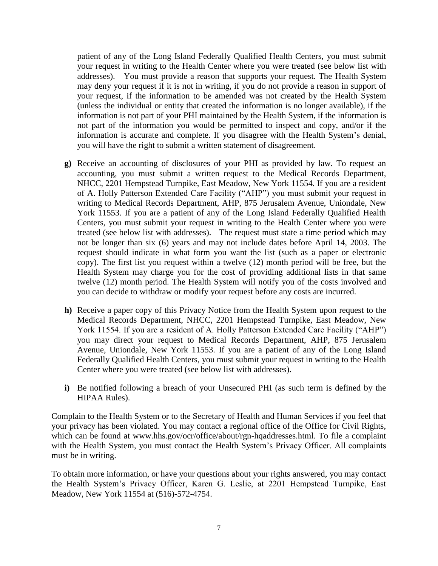patient of any of the Long Island Federally Qualified Health Centers, you must submit your request in writing to the Health Center where you were treated (see below list with addresses). You must provide a reason that supports your request. The Health System may deny your request if it is not in writing, if you do not provide a reason in support of your request, if the information to be amended was not created by the Health System (unless the individual or entity that created the information is no longer available), if the information is not part of your PHI maintained by the Health System, if the information is not part of the information you would be permitted to inspect and copy, and/or if the information is accurate and complete. If you disagree with the Health System's denial, you will have the right to submit a written statement of disagreement.

- **g)** Receive an accounting of disclosures of your PHI as provided by law. To request an accounting, you must submit a written request to the Medical Records Department, NHCC, 2201 Hempstead Turnpike, East Meadow, New York 11554. If you are a resident of A. Holly Patterson Extended Care Facility ("AHP") you must submit your request in writing to Medical Records Department, AHP, 875 Jerusalem Avenue, Uniondale, New York 11553. If you are a patient of any of the Long Island Federally Qualified Health Centers, you must submit your request in writing to the Health Center where you were treated (see below list with addresses). The request must state a time period which may not be longer than six (6) years and may not include dates before April 14, 2003. The request should indicate in what form you want the list (such as a paper or electronic copy). The first list you request within a twelve (12) month period will be free, but the Health System may charge you for the cost of providing additional lists in that same twelve (12) month period. The Health System will notify you of the costs involved and you can decide to withdraw or modify your request before any costs are incurred.
- **h)** Receive a paper copy of this Privacy Notice from the Health System upon request to the Medical Records Department, NHCC, 2201 Hempstead Turnpike, East Meadow, New York 11554. If you are a resident of A. Holly Patterson Extended Care Facility ("AHP") you may direct your request to Medical Records Department, AHP, 875 Jerusalem Avenue, Uniondale, New York 11553. If you are a patient of any of the Long Island Federally Qualified Health Centers, you must submit your request in writing to the Health Center where you were treated (see below list with addresses).
- **i)** Be notified following a breach of your Unsecured PHI (as such term is defined by the HIPAA Rules).

Complain to the Health System or to the Secretary of Health and Human Services if you feel that your privacy has been violated. You may contact a regional office of the Office for Civil Rights, which can be found at www.hhs.gov/ocr/office/about/rgn-hqaddresses.html. To file a complaint with the Health System, you must contact the Health System's Privacy Officer. All complaints must be in writing.

To obtain more information, or have your questions about your rights answered, you may contact the Health System's Privacy Officer, Karen G. Leslie, at 2201 Hempstead Turnpike, East Meadow, New York 11554 at (516)-572-4754.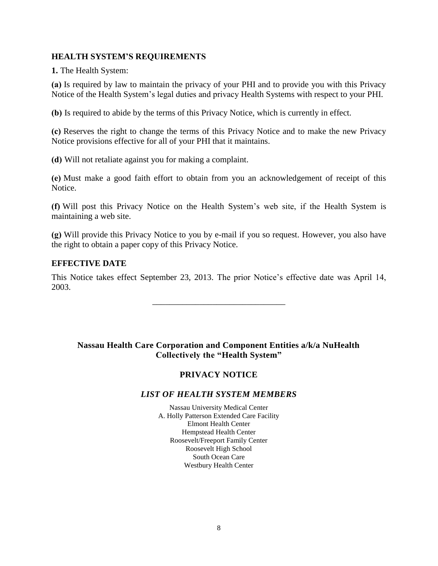#### **HEALTH SYSTEM'S REQUIREMENTS**

**1.** The Health System:

**(a)** Is required by law to maintain the privacy of your PHI and to provide you with this Privacy Notice of the Health System's legal duties and privacy Health Systems with respect to your PHI.

**(b)** Is required to abide by the terms of this Privacy Notice, which is currently in effect.

**(c)** Reserves the right to change the terms of this Privacy Notice and to make the new Privacy Notice provisions effective for all of your PHI that it maintains.

**(d)** Will not retaliate against you for making a complaint.

**(e)** Must make a good faith effort to obtain from you an acknowledgement of receipt of this Notice.

**(f)** Will post this Privacy Notice on the Health System's web site, if the Health System is maintaining a web site.

**(g)** Will provide this Privacy Notice to you by e-mail if you so request. However, you also have the right to obtain a paper copy of this Privacy Notice.

#### **EFFECTIVE DATE**

This Notice takes effect September 23, 2013. The prior Notice's effective date was April 14, 2003.

\_\_\_\_\_\_\_\_\_\_\_\_\_\_\_\_\_\_\_\_\_\_\_\_\_\_\_\_\_\_\_

## **Nassau Health Care Corporation and Component Entities a/k/a NuHealth Collectively the "Health System"**

## **PRIVACY NOTICE**

## *LIST OF HEALTH SYSTEM MEMBERS*

Nassau University Medical Center A. Holly Patterson Extended Care Facility Elmont Health Center Hempstead Health Center Roosevelt/Freeport Family Center Roosevelt High School South Ocean Care Westbury Health Center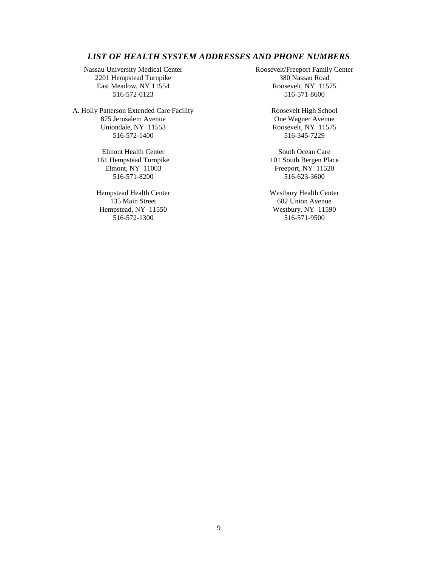#### *LIST OF HEALTH SYSTEM ADDRESSES AND PHONE NUMBERS*

Nassau University Medical Center 2201 Hempstead Turnpike East Meadow, NY 11554 516-572-0123

A. Holly Patterson Extended Care Facility 875 Jerusalem Avenue Uniondale, NY 11553 516-572-1400

> Elmont Health Center 161 Hempstead Turnpike Elmont, NY 11003 516-571-8200

Hempstead Health Center 135 Main Street Hempstead, NY 11550 516-572-1300

Roosevelt/Freeport Family Center 380 Nassau Road Roosevelt, NY 11575 516-571-8600

> Roosevelt High School One Wagner Avenue Roosevelt, NY 11575 516-345-7229

South Ocean Care 101 South Bergen Place Freeport, NY 11520 516-623-3600

Westbury Health Center 682 Union Avenue Westbury, NY 11590 516-571-9500